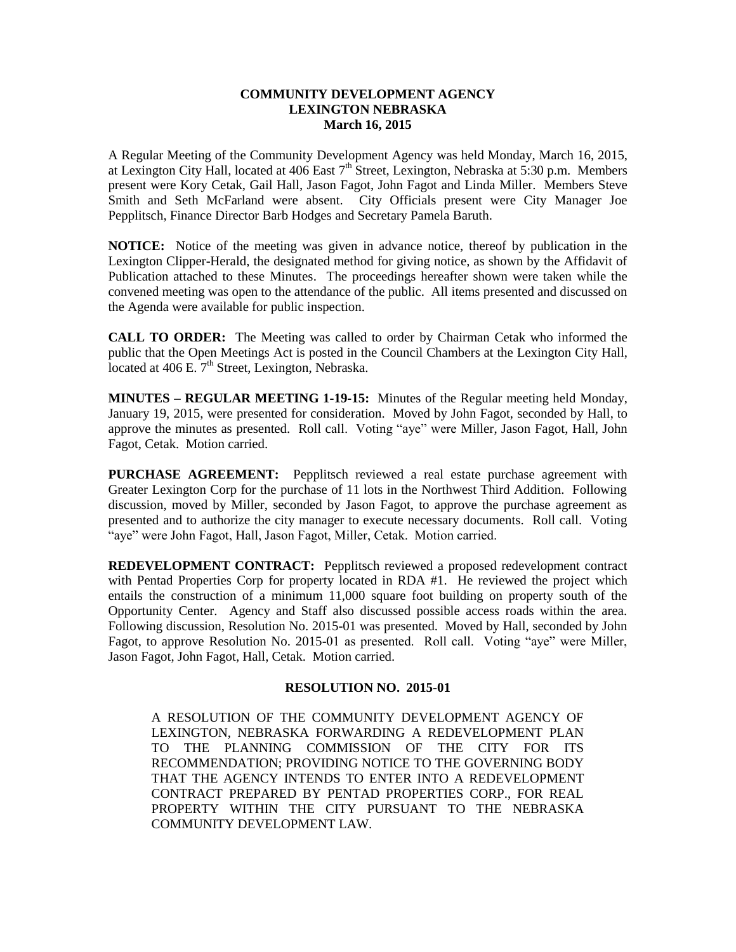## **COMMUNITY DEVELOPMENT AGENCY LEXINGTON NEBRASKA March 16, 2015**

A Regular Meeting of the Community Development Agency was held Monday, March 16, 2015, at Lexington City Hall, located at 406 East  $7<sup>th</sup>$  Street, Lexington, Nebraska at 5:30 p.m. Members present were Kory Cetak, Gail Hall, Jason Fagot, John Fagot and Linda Miller. Members Steve Smith and Seth McFarland were absent. City Officials present were City Manager Joe Pepplitsch, Finance Director Barb Hodges and Secretary Pamela Baruth.

**NOTICE:** Notice of the meeting was given in advance notice, thereof by publication in the Lexington Clipper-Herald, the designated method for giving notice, as shown by the Affidavit of Publication attached to these Minutes. The proceedings hereafter shown were taken while the convened meeting was open to the attendance of the public. All items presented and discussed on the Agenda were available for public inspection.

**CALL TO ORDER:** The Meeting was called to order by Chairman Cetak who informed the public that the Open Meetings Act is posted in the Council Chambers at the Lexington City Hall, located at  $406$  E.  $7<sup>th</sup>$  Street, Lexington, Nebraska.

**MINUTES – REGULAR MEETING 1-19-15:** Minutes of the Regular meeting held Monday, January 19, 2015, were presented for consideration. Moved by John Fagot, seconded by Hall, to approve the minutes as presented. Roll call. Voting "aye" were Miller, Jason Fagot, Hall, John Fagot, Cetak. Motion carried.

**PURCHASE AGREEMENT:** Pepplitsch reviewed a real estate purchase agreement with Greater Lexington Corp for the purchase of 11 lots in the Northwest Third Addition. Following discussion, moved by Miller, seconded by Jason Fagot, to approve the purchase agreement as presented and to authorize the city manager to execute necessary documents. Roll call. Voting "aye" were John Fagot, Hall, Jason Fagot, Miller, Cetak. Motion carried.

**REDEVELOPMENT CONTRACT:** Pepplitsch reviewed a proposed redevelopment contract with Pentad Properties Corp for property located in RDA #1. He reviewed the project which entails the construction of a minimum 11,000 square foot building on property south of the Opportunity Center. Agency and Staff also discussed possible access roads within the area. Following discussion, Resolution No. 2015-01 was presented. Moved by Hall, seconded by John Fagot, to approve Resolution No. 2015-01 as presented. Roll call. Voting "aye" were Miller, Jason Fagot, John Fagot, Hall, Cetak. Motion carried.

## **RESOLUTION NO. 2015-01**

A RESOLUTION OF THE COMMUNITY DEVELOPMENT AGENCY OF LEXINGTON, NEBRASKA FORWARDING A REDEVELOPMENT PLAN TO THE PLANNING COMMISSION OF THE CITY FOR ITS RECOMMENDATION; PROVIDING NOTICE TO THE GOVERNING BODY THAT THE AGENCY INTENDS TO ENTER INTO A REDEVELOPMENT CONTRACT PREPARED BY PENTAD PROPERTIES CORP., FOR REAL PROPERTY WITHIN THE CITY PURSUANT TO THE NEBRASKA COMMUNITY DEVELOPMENT LAW.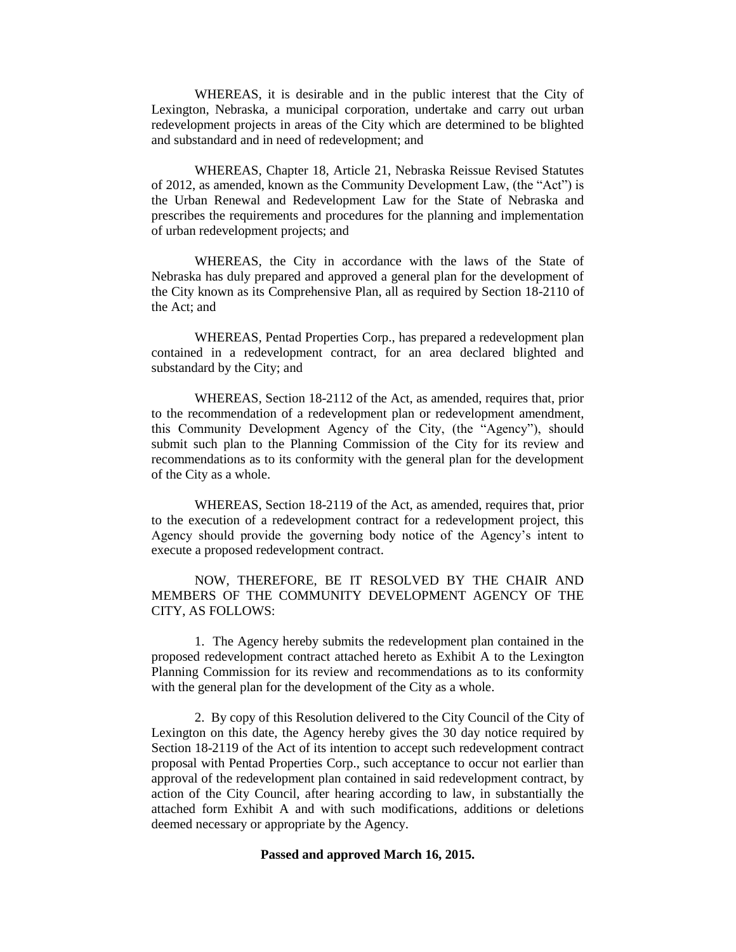WHEREAS, it is desirable and in the public interest that the City of Lexington, Nebraska, a municipal corporation, undertake and carry out urban redevelopment projects in areas of the City which are determined to be blighted and substandard and in need of redevelopment; and

WHEREAS, Chapter 18, Article 21, Nebraska Reissue Revised Statutes of 2012, as amended, known as the Community Development Law, (the "Act") is the Urban Renewal and Redevelopment Law for the State of Nebraska and prescribes the requirements and procedures for the planning and implementation of urban redevelopment projects; and

WHEREAS, the City in accordance with the laws of the State of Nebraska has duly prepared and approved a general plan for the development of the City known as its Comprehensive Plan, all as required by Section 18-2110 of the Act; and

WHEREAS, Pentad Properties Corp., has prepared a redevelopment plan contained in a redevelopment contract, for an area declared blighted and substandard by the City; and

WHEREAS, Section 18-2112 of the Act, as amended, requires that, prior to the recommendation of a redevelopment plan or redevelopment amendment, this Community Development Agency of the City, (the "Agency"), should submit such plan to the Planning Commission of the City for its review and recommendations as to its conformity with the general plan for the development of the City as a whole.

WHEREAS, Section 18-2119 of the Act, as amended, requires that, prior to the execution of a redevelopment contract for a redevelopment project, this Agency should provide the governing body notice of the Agency's intent to execute a proposed redevelopment contract.

NOW, THEREFORE, BE IT RESOLVED BY THE CHAIR AND MEMBERS OF THE COMMUNITY DEVELOPMENT AGENCY OF THE CITY, AS FOLLOWS:

1. The Agency hereby submits the redevelopment plan contained in the proposed redevelopment contract attached hereto as Exhibit A to the Lexington Planning Commission for its review and recommendations as to its conformity with the general plan for the development of the City as a whole.

2. By copy of this Resolution delivered to the City Council of the City of Lexington on this date, the Agency hereby gives the 30 day notice required by Section 18-2119 of the Act of its intention to accept such redevelopment contract proposal with Pentad Properties Corp., such acceptance to occur not earlier than approval of the redevelopment plan contained in said redevelopment contract, by action of the City Council, after hearing according to law, in substantially the attached form Exhibit A and with such modifications, additions or deletions deemed necessary or appropriate by the Agency.

#### **Passed and approved March 16, 2015.**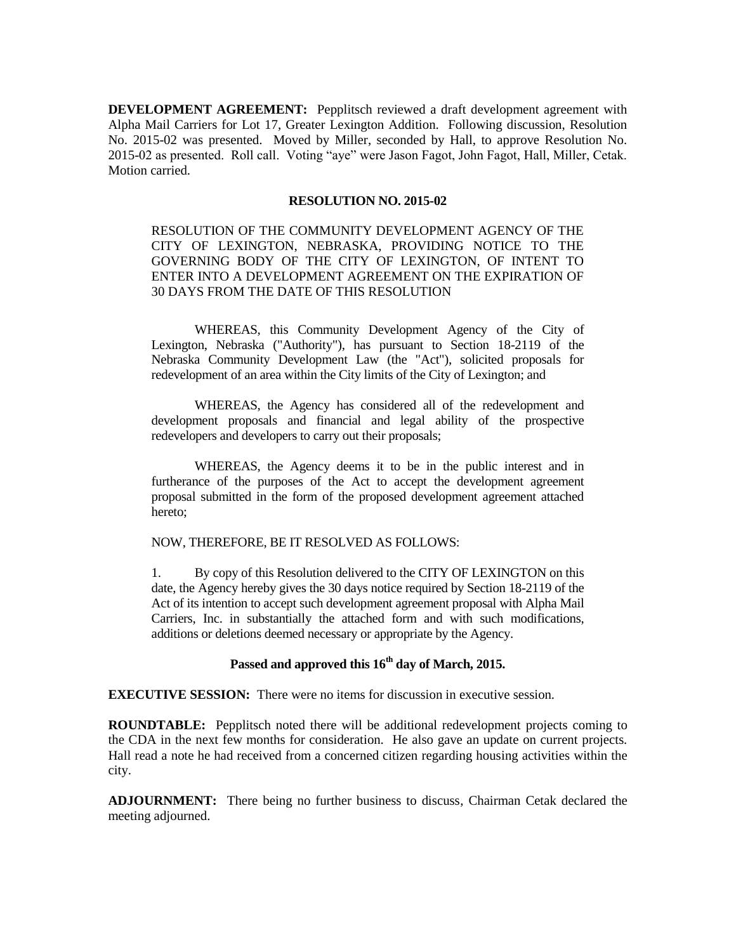**DEVELOPMENT AGREEMENT:** Pepplitsch reviewed a draft development agreement with Alpha Mail Carriers for Lot 17, Greater Lexington Addition. Following discussion, Resolution No. 2015-02 was presented. Moved by Miller, seconded by Hall, to approve Resolution No. 2015-02 as presented. Roll call. Voting "aye" were Jason Fagot, John Fagot, Hall, Miller, Cetak. Motion carried.

### **RESOLUTION NO. 2015-02**

RESOLUTION OF THE COMMUNITY DEVELOPMENT AGENCY OF THE CITY OF LEXINGTON, NEBRASKA, PROVIDING NOTICE TO THE GOVERNING BODY OF THE CITY OF LEXINGTON, OF INTENT TO ENTER INTO A DEVELOPMENT AGREEMENT ON THE EXPIRATION OF 30 DAYS FROM THE DATE OF THIS RESOLUTION

WHEREAS, this Community Development Agency of the City of Lexington, Nebraska ("Authority"), has pursuant to Section 18-2119 of the Nebraska Community Development Law (the "Act"), solicited proposals for redevelopment of an area within the City limits of the City of Lexington; and

WHEREAS, the Agency has considered all of the redevelopment and development proposals and financial and legal ability of the prospective redevelopers and developers to carry out their proposals;

WHEREAS, the Agency deems it to be in the public interest and in furtherance of the purposes of the Act to accept the development agreement proposal submitted in the form of the proposed development agreement attached hereto;

NOW, THEREFORE, BE IT RESOLVED AS FOLLOWS:

1. By copy of this Resolution delivered to the CITY OF LEXINGTON on this date, the Agency hereby gives the 30 days notice required by Section 18-2119 of the Act of its intention to accept such development agreement proposal with Alpha Mail Carriers, Inc. in substantially the attached form and with such modifications, additions or deletions deemed necessary or appropriate by the Agency.

# **Passed and approved this 16th day of March, 2015.**

**EXECUTIVE SESSION:** There were no items for discussion in executive session.

**ROUNDTABLE:** Pepplitsch noted there will be additional redevelopment projects coming to the CDA in the next few months for consideration. He also gave an update on current projects. Hall read a note he had received from a concerned citizen regarding housing activities within the city.

**ADJOURNMENT:** There being no further business to discuss, Chairman Cetak declared the meeting adjourned.